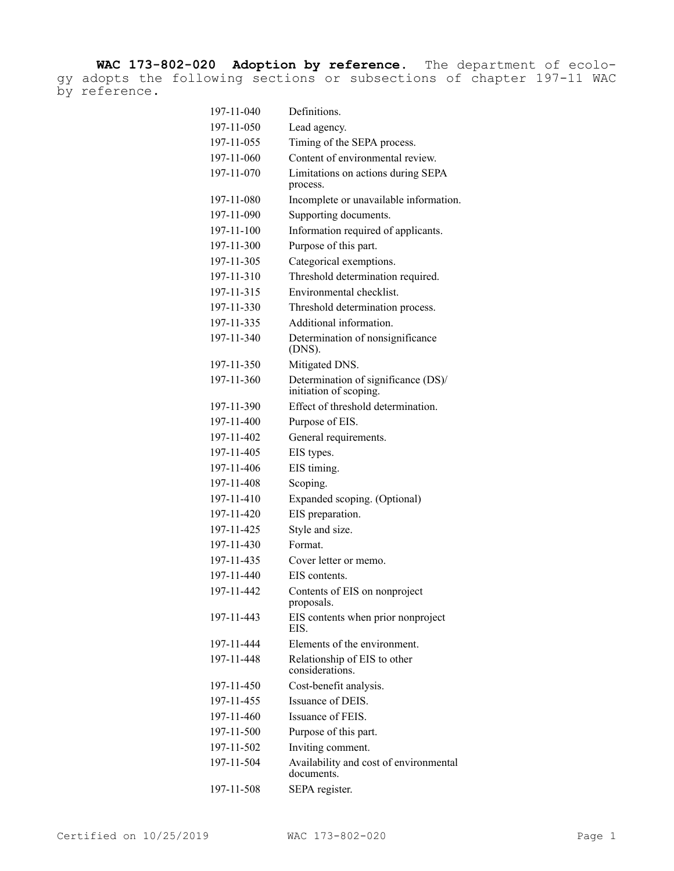**WAC 173-802-020 Adoption by reference.** The department of ecology adopts the following sections or subsections of chapter 197-11 WAC by reference.

| 197-11-040 | Definitions.                                                  |
|------------|---------------------------------------------------------------|
| 197-11-050 | Lead agency.                                                  |
| 197-11-055 | Timing of the SEPA process.                                   |
| 197-11-060 | Content of environmental review.                              |
| 197-11-070 | Limitations on actions during SEPA<br>process.                |
| 197-11-080 | Incomplete or unavailable information.                        |
| 197-11-090 | Supporting documents.                                         |
| 197-11-100 | Information required of applicants.                           |
| 197-11-300 | Purpose of this part.                                         |
| 197-11-305 | Categorical exemptions.                                       |
| 197-11-310 | Threshold determination required.                             |
| 197-11-315 | Environmental checklist.                                      |
| 197-11-330 | Threshold determination process.                              |
| 197-11-335 | Additional information.                                       |
| 197-11-340 | Determination of nonsignificance<br>(DNS).                    |
| 197-11-350 | Mitigated DNS.                                                |
| 197-11-360 | Determination of significance (DS)/<br>initiation of scoping. |
| 197-11-390 | Effect of threshold determination.                            |
| 197-11-400 | Purpose of EIS.                                               |
| 197-11-402 | General requirements.                                         |
| 197-11-405 | EIS types.                                                    |
| 197-11-406 | EIS timing.                                                   |
| 197-11-408 | Scoping.                                                      |
| 197-11-410 | Expanded scoping. (Optional)                                  |
| 197-11-420 | EIS preparation.                                              |
| 197-11-425 | Style and size.                                               |
| 197-11-430 | Format.                                                       |
| 197-11-435 | Cover letter or memo.                                         |
| 197-11-440 | EIS contents.                                                 |
| 197-11-442 | Contents of EIS on nonproject<br>proposals.                   |
| 197-11-443 | EIS contents when prior nonproject<br>EIS.                    |
| 197-11-444 | Elements of the environment.                                  |
| 197-11-448 | Relationship of EIS to other<br>considerations.               |
| 197-11-450 | Cost-benefit analysis.                                        |
| 197-11-455 | Issuance of DEIS.                                             |
| 197-11-460 | Issuance of FEIS.                                             |
| 197-11-500 | Purpose of this part.                                         |
| 197-11-502 | Inviting comment.                                             |
| 197-11-504 | Availability and cost of environmental<br>documents.          |
| 197-11-508 | SEPA register.                                                |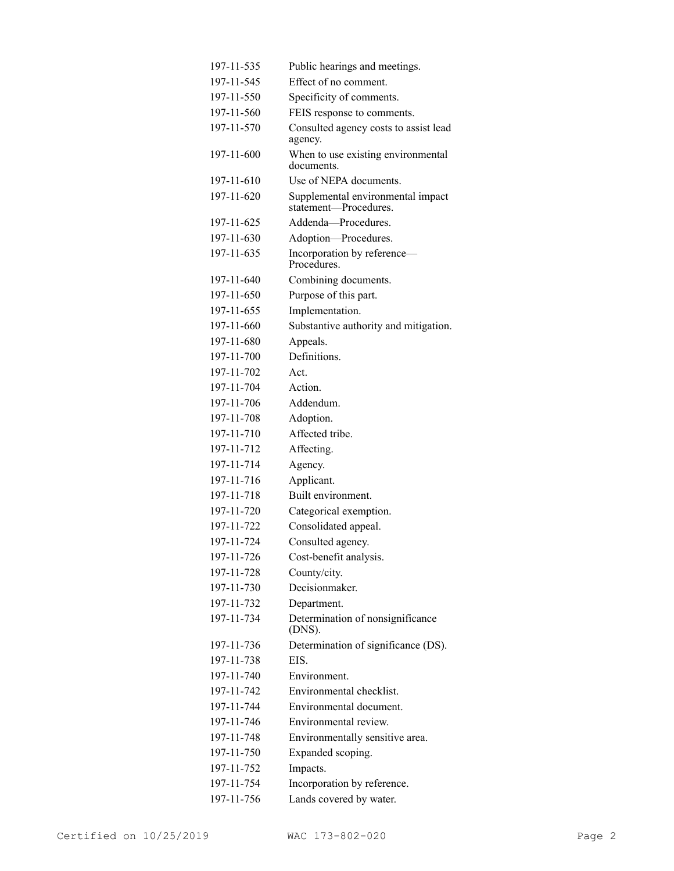| 197-11-535 | Public hearings and meetings.                              |
|------------|------------------------------------------------------------|
| 197-11-545 | Effect of no comment.                                      |
| 197-11-550 | Specificity of comments.                                   |
| 197-11-560 | FEIS response to comments.                                 |
| 197-11-570 | Consulted agency costs to assist lead<br>agency.           |
| 197-11-600 | When to use existing environmental<br>documents.           |
| 197-11-610 | Use of NEPA documents.                                     |
| 197-11-620 | Supplemental environmental impact<br>statement-Procedures. |
| 197-11-625 | Addenda-Procedures.                                        |
| 197-11-630 | Adoption-Procedures.                                       |
| 197-11-635 | Incorporation by reference-<br>Procedures.                 |
| 197-11-640 | Combining documents.                                       |
| 197-11-650 | Purpose of this part.                                      |
| 197-11-655 | Implementation.                                            |
| 197-11-660 | Substantive authority and mitigation.                      |
| 197-11-680 | Appeals.                                                   |
| 197-11-700 | Definitions.                                               |
| 197-11-702 | Act.                                                       |
| 197-11-704 | Action.                                                    |
| 197-11-706 | Addendum.                                                  |
| 197-11-708 | Adoption.                                                  |
| 197-11-710 | Affected tribe.                                            |
| 197-11-712 | Affecting.                                                 |
| 197-11-714 | Agency.                                                    |
| 197-11-716 | Applicant.                                                 |
| 197-11-718 | Built environment.                                         |
| 197-11-720 | Categorical exemption.                                     |
| 197-11-722 | Consolidated appeal.                                       |
| 197-11-724 | Consulted agency.                                          |
| 197-11-726 | Cost-benefit analysis.                                     |
| 197-11-728 | County/city.                                               |
| 197-11-730 | Decisionmaker.                                             |
| 197-11-732 | Department.                                                |
| 197-11-734 | Determination of nonsignificance<br>(DNS).                 |
| 197-11-736 | Determination of significance (DS).                        |
| 197-11-738 | EIS.                                                       |
| 197-11-740 | Environment.                                               |
| 197-11-742 | Environmental checklist.                                   |
| 197-11-744 | Environmental document.                                    |
| 197-11-746 | Environmental review.                                      |
| 197-11-748 | Environmentally sensitive area.                            |
| 197-11-750 | Expanded scoping.                                          |
| 197-11-752 | Impacts.                                                   |
| 197-11-754 | Incorporation by reference.                                |
| 197-11-756 | Lands covered by water.                                    |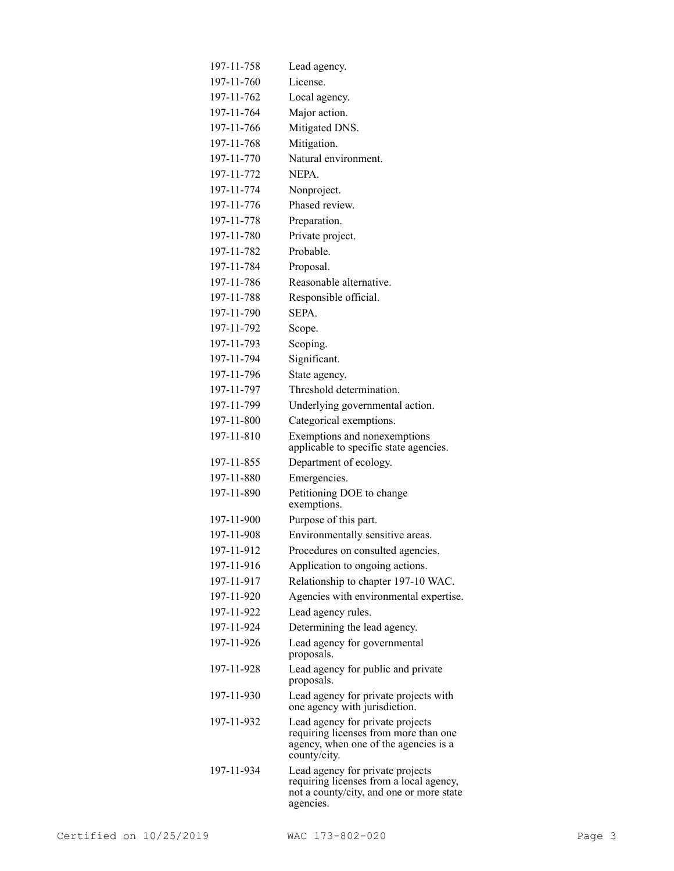| 197-11-758 | Lead agency.                                                                                                                         |
|------------|--------------------------------------------------------------------------------------------------------------------------------------|
| 197-11-760 | License.                                                                                                                             |
| 197-11-762 | Local agency.                                                                                                                        |
| 197-11-764 | Major action.                                                                                                                        |
| 197-11-766 | Mitigated DNS.                                                                                                                       |
| 197-11-768 | Mitigation.                                                                                                                          |
| 197-11-770 | Natural environment.                                                                                                                 |
| 197-11-772 | NEPA.                                                                                                                                |
| 197-11-774 | Nonproject.                                                                                                                          |
| 197-11-776 | Phased review.                                                                                                                       |
| 197-11-778 | Preparation.                                                                                                                         |
| 197-11-780 | Private project.                                                                                                                     |
| 197-11-782 | Probable.                                                                                                                            |
| 197-11-784 | Proposal.                                                                                                                            |
| 197-11-786 | Reasonable alternative.                                                                                                              |
| 197-11-788 | Responsible official.                                                                                                                |
| 197-11-790 | SEPA.                                                                                                                                |
| 197-11-792 | Scope.                                                                                                                               |
| 197-11-793 | Scoping.                                                                                                                             |
| 197-11-794 | Significant.                                                                                                                         |
| 197-11-796 | State agency.                                                                                                                        |
| 197-11-797 | Threshold determination.                                                                                                             |
| 197-11-799 | Underlying governmental action.                                                                                                      |
| 197-11-800 | Categorical exemptions.                                                                                                              |
| 197-11-810 | Exemptions and nonexemptions<br>applicable to specific state agencies.                                                               |
| 197-11-855 | Department of ecology.                                                                                                               |
| 197-11-880 | Emergencies.                                                                                                                         |
| 197-11-890 | Petitioning DOE to change<br>exemptions.                                                                                             |
| 197-11-900 | Purpose of this part.                                                                                                                |
| 197-11-908 | Environmentally sensitive areas.                                                                                                     |
| 197-11-912 | Procedures on consulted agencies.                                                                                                    |
| 197-11-916 | Application to ongoing actions.                                                                                                      |
| 197-11-917 | Relationship to chapter 197-10 WAC.                                                                                                  |
| 197-11-920 | Agencies with environmental expertise.                                                                                               |
| 197-11-922 | Lead agency rules.                                                                                                                   |
| 197-11-924 | Determining the lead agency.                                                                                                         |
| 197-11-926 | Lead agency for governmental<br>proposals.                                                                                           |
| 197-11-928 | Lead agency for public and private<br>proposals.                                                                                     |
| 197-11-930 | Lead agency for private projects with<br>one agency with jurisdiction.                                                               |
| 197-11-932 | Lead agency for private projects<br>requiring licenses from more than one<br>agency, when one of the agencies is a<br>county/city.   |
| 197-11-934 | Lead agency for private projects<br>requiring licenses from a local agency,<br>not a county/city, and one or more state<br>agencies. |